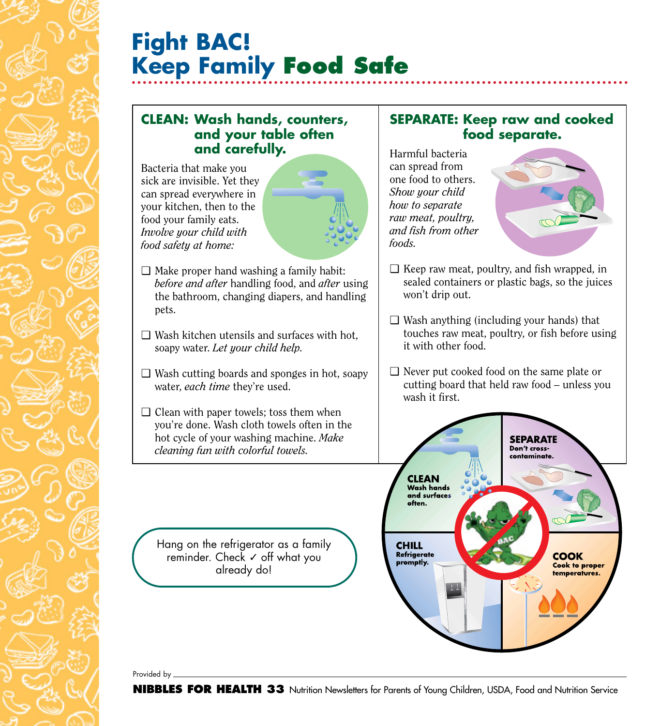# **Fight BAC! Keep Family Food Safe**

#### **CLEAN: Wash hands, counters, and your table often and carefully.**

Bacteria that make you sick are invisible. Yet they can spread everywhere in your kitchen, then to the food your family eats. *Involve your child with food safety at home:*



- $\Box$  Make proper hand washing a family habit: *before and after* handling food, and *after* using the bathroom, changing diapers, and handling pets.
- $\Box$  Wash kitchen utensils and surfaces with hot, soapy water. *Let your child help.*
- ❑ Wash cutting boards and sponges in hot, soapy water, *each time* they're used.
- $\Box$  Clean with paper towels; toss them when you're done. Wash cloth towels often in the hot cycle of your washing machine. *Make cleaning fun with colorful towels.*

#### **SEPARATE: Keep raw and cooked food separate.**

Harmful bacteria can spread from one food to others. *Show your child how to separate raw meat, poultry, and fish from other foods.*



- $\Box$  Keep raw meat, poultry, and fish wrapped, in sealed containers or plastic bags, so the juices won't drip out.
- $\Box$  Wash anything (including your hands) that touches raw meat, poultry, or fish before using it with other food.
- ❑ Never put cooked food on the same plate or cutting board that held raw food – unless you wash it first.



Hang on the refrigerator as a family reminder. Check √ off what you already do!

Provided by